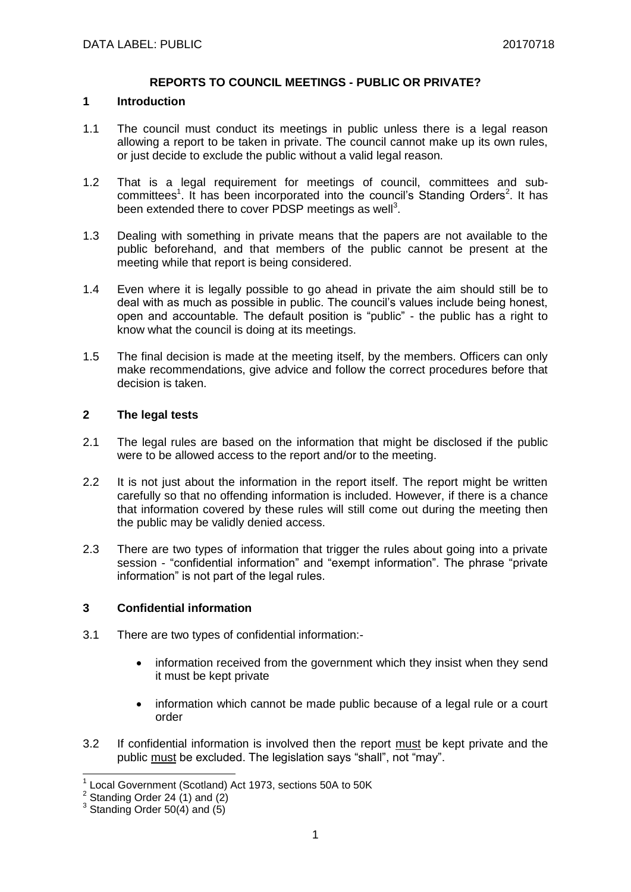#### **REPORTS TO COUNCIL MEETINGS - PUBLIC OR PRIVATE?**

#### **1 Introduction**

- 1.1 The council must conduct its meetings in public unless there is a legal reason allowing a report to be taken in private. The council cannot make up its own rules, or just decide to exclude the public without a valid legal reason.
- 1.2 That is a legal requirement for meetings of council, committees and subcommittees<sup>1</sup>. It has been incorporated into the council's Standing Orders<sup>2</sup>. It has been extended there to cover PDSP meetings as well<sup>3</sup>.
- 1.3 Dealing with something in private means that the papers are not available to the public beforehand, and that members of the public cannot be present at the meeting while that report is being considered.
- 1.4 Even where it is legally possible to go ahead in private the aim should still be to deal with as much as possible in public. The council's values include being honest, open and accountable. The default position is "public" - the public has a right to know what the council is doing at its meetings.
- 1.5 The final decision is made at the meeting itself, by the members. Officers can only make recommendations, give advice and follow the correct procedures before that decision is taken.

### **2 The legal tests**

- 2.1 The legal rules are based on the information that might be disclosed if the public were to be allowed access to the report and/or to the meeting.
- 2.2 It is not just about the information in the report itself. The report might be written carefully so that no offending information is included. However, if there is a chance that information covered by these rules will still come out during the meeting then the public may be validly denied access.
- 2.3 There are two types of information that trigger the rules about going into a private session - "confidential information" and "exempt information". The phrase "private information" is not part of the legal rules.

### **3 Confidential information**

- 3.1 There are two types of confidential information:-
	- information received from the government which they insist when they send it must be kept private
	- information which cannot be made public because of a legal rule or a court order
- 3.2 If confidential information is involved then the report must be kept private and the public must be excluded. The legislation says "shall", not "may".

 1 Local Government (Scotland) Act 1973, sections 50A to 50K

 $2^2$  Standing Order 24 (1) and (2)

 $3$  Standing Order 50(4) and (5)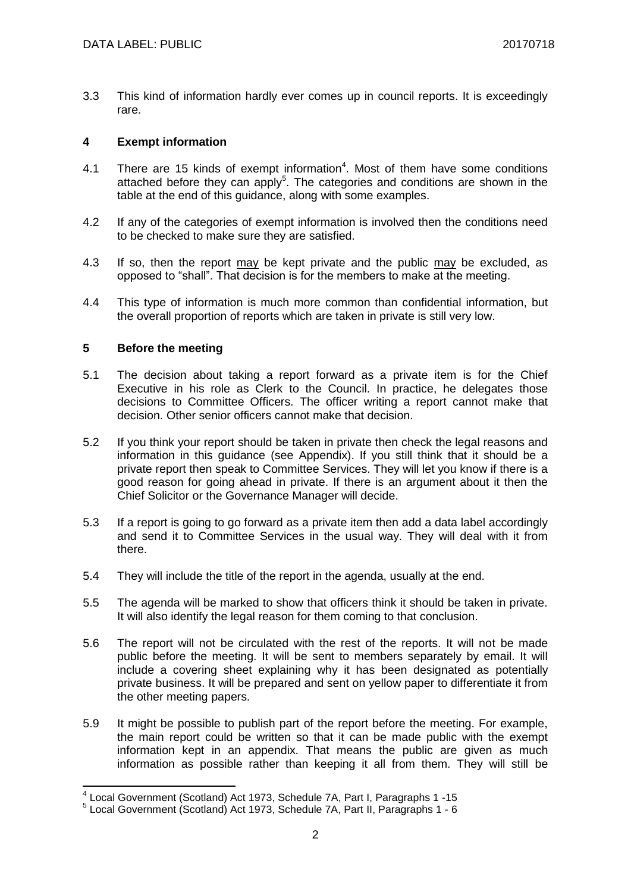3.3 This kind of information hardly ever comes up in council reports. It is exceedingly rare.

## **4 Exempt information**

- 4.1 There are 15 kinds of exempt information<sup>4</sup>. Most of them have some conditions attached before they can apply<sup>5</sup>. The categories and conditions are shown in the table at the end of this guidance, along with some examples.
- 4.2 If any of the categories of exempt information is involved then the conditions need to be checked to make sure they are satisfied.
- 4.3 If so, then the report may be kept private and the public may be excluded, as opposed to "shall". That decision is for the members to make at the meeting.
- 4.4 This type of information is much more common than confidential information, but the overall proportion of reports which are taken in private is still very low.

## **5 Before the meeting**

- 5.1 The decision about taking a report forward as a private item is for the Chief Executive in his role as Clerk to the Council. In practice, he delegates those decisions to Committee Officers. The officer writing a report cannot make that decision. Other senior officers cannot make that decision.
- 5.2 If you think your report should be taken in private then check the legal reasons and information in this guidance (see Appendix). If you still think that it should be a private report then speak to Committee Services. They will let you know if there is a good reason for going ahead in private. If there is an argument about it then the Chief Solicitor or the Governance Manager will decide.
- 5.3 If a report is going to go forward as a private item then add a data label accordingly and send it to Committee Services in the usual way. They will deal with it from there.
- 5.4 They will include the title of the report in the agenda, usually at the end.
- 5.5 The agenda will be marked to show that officers think it should be taken in private. It will also identify the legal reason for them coming to that conclusion.
- 5.6 The report will not be circulated with the rest of the reports. It will not be made public before the meeting. It will be sent to members separately by email. It will include a covering sheet explaining why it has been designated as potentially private business. It will be prepared and sent on yellow paper to differentiate it from the other meeting papers.
- 5.9 It might be possible to publish part of the report before the meeting. For example, the main report could be written so that it can be made public with the exempt information kept in an appendix. That means the public are given as much information as possible rather than keeping it all from them. They will still be

<sup>&</sup>lt;sup>4</sup> Local Government (Scotland) Act 1973, Schedule 7A, Part I, Paragraphs 1 -15

<sup>5</sup> Local Government (Scotland) Act 1973, Schedule 7A, Part II, Paragraphs 1 - 6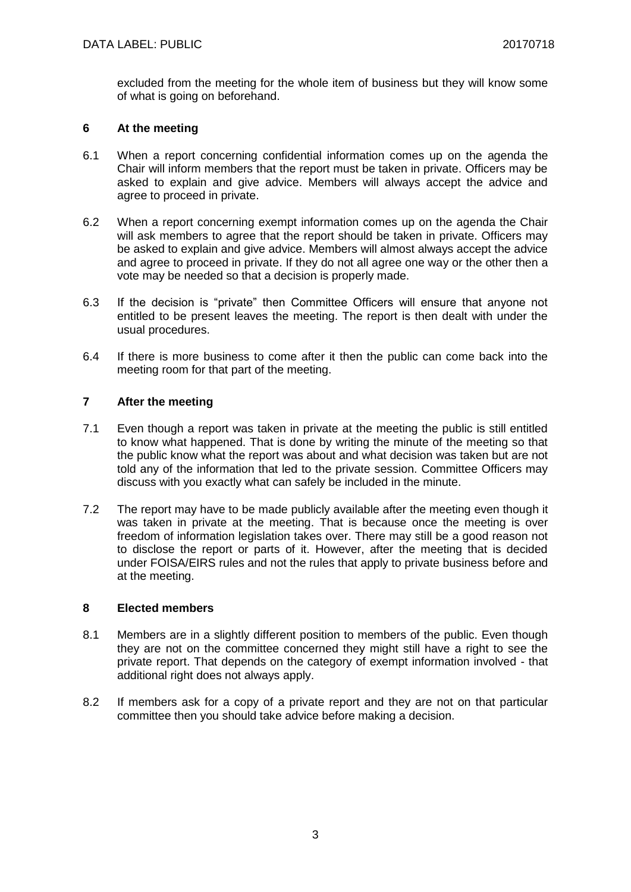excluded from the meeting for the whole item of business but they will know some of what is going on beforehand.

### **6 At the meeting**

- 6.1 When a report concerning confidential information comes up on the agenda the Chair will inform members that the report must be taken in private. Officers may be asked to explain and give advice. Members will always accept the advice and agree to proceed in private.
- 6.2 When a report concerning exempt information comes up on the agenda the Chair will ask members to agree that the report should be taken in private. Officers may be asked to explain and give advice. Members will almost always accept the advice and agree to proceed in private. If they do not all agree one way or the other then a vote may be needed so that a decision is properly made.
- 6.3 If the decision is "private" then Committee Officers will ensure that anyone not entitled to be present leaves the meeting. The report is then dealt with under the usual procedures.
- 6.4 If there is more business to come after it then the public can come back into the meeting room for that part of the meeting.

# **7 After the meeting**

- 7.1 Even though a report was taken in private at the meeting the public is still entitled to know what happened. That is done by writing the minute of the meeting so that the public know what the report was about and what decision was taken but are not told any of the information that led to the private session. Committee Officers may discuss with you exactly what can safely be included in the minute.
- 7.2 The report may have to be made publicly available after the meeting even though it was taken in private at the meeting. That is because once the meeting is over freedom of information legislation takes over. There may still be a good reason not to disclose the report or parts of it. However, after the meeting that is decided under FOISA/EIRS rules and not the rules that apply to private business before and at the meeting.

### **8 Elected members**

- 8.1 Members are in a slightly different position to members of the public. Even though they are not on the committee concerned they might still have a right to see the private report. That depends on the category of exempt information involved - that additional right does not always apply.
- 8.2 If members ask for a copy of a private report and they are not on that particular committee then you should take advice before making a decision.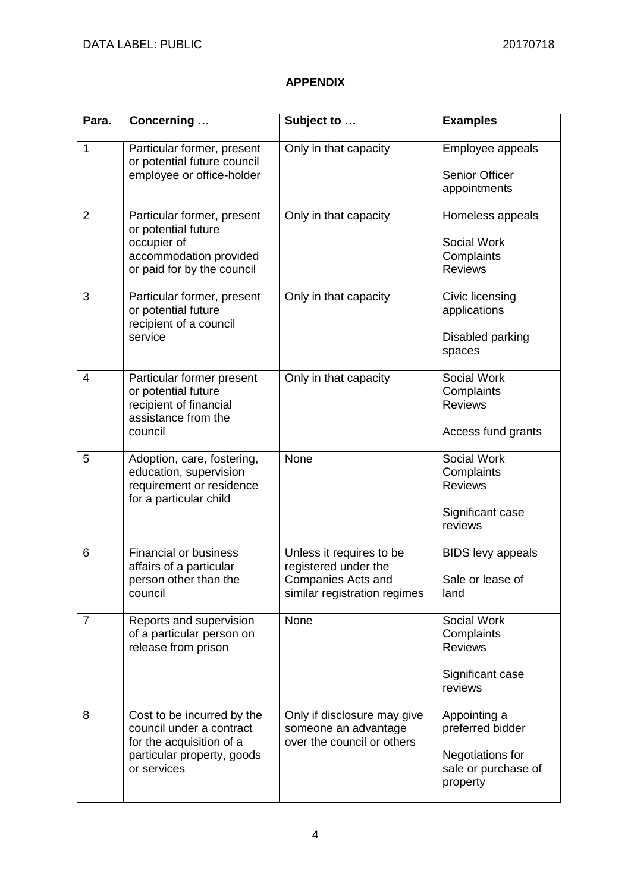# **APPENDIX**

| Para.          | Concerning                                                                                                                      | Subject to                                                                                             | <b>Examples</b>                                                                         |
|----------------|---------------------------------------------------------------------------------------------------------------------------------|--------------------------------------------------------------------------------------------------------|-----------------------------------------------------------------------------------------|
| 1              | Particular former, present<br>or potential future council<br>employee or office-holder                                          | Only in that capacity                                                                                  | Employee appeals<br><b>Senior Officer</b><br>appointments                               |
| $\overline{2}$ | Particular former, present<br>or potential future<br>occupier of<br>accommodation provided<br>or paid for by the council        | Only in that capacity                                                                                  | Homeless appeals<br>Social Work<br>Complaints<br><b>Reviews</b>                         |
| 3              | Particular former, present<br>or potential future<br>recipient of a council<br>service                                          | Only in that capacity                                                                                  | Civic licensing<br>applications<br>Disabled parking<br>spaces                           |
| 4              | Particular former present<br>or potential future<br>recipient of financial<br>assistance from the<br>council                    | Only in that capacity                                                                                  | Social Work<br>Complaints<br><b>Reviews</b><br>Access fund grants                       |
| 5              | Adoption, care, fostering,<br>education, supervision<br>requirement or residence<br>for a particular child                      | None                                                                                                   | Social Work<br>Complaints<br><b>Reviews</b><br>Significant case<br>reviews              |
| 6              | <b>Financial or business</b><br>affairs of a particular<br>person other than the<br>council                                     | Unless it requires to be<br>registered under the<br>Companies Acts and<br>similar registration regimes | <b>BIDS</b> levy appeals<br>Sale or lease of<br>land                                    |
| $\overline{7}$ | Reports and supervision<br>of a particular person on<br>release from prison                                                     | <b>None</b>                                                                                            | Social Work<br>Complaints<br><b>Reviews</b><br>Significant case<br>reviews              |
| 8              | Cost to be incurred by the<br>council under a contract<br>for the acquisition of a<br>particular property, goods<br>or services | Only if disclosure may give<br>someone an advantage<br>over the council or others                      | Appointing a<br>preferred bidder<br>Negotiations for<br>sale or purchase of<br>property |